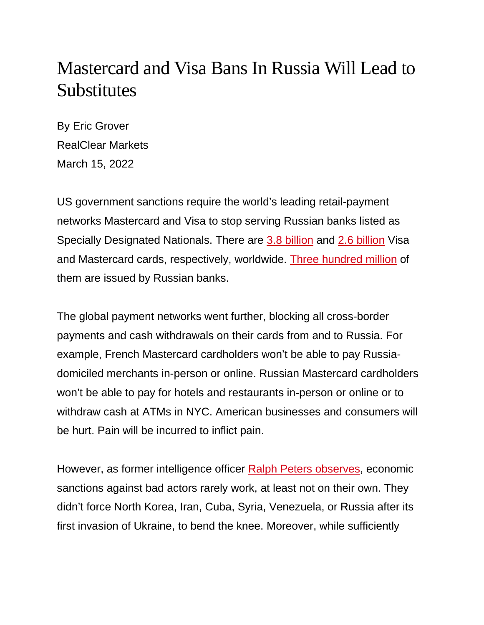## Mastercard and Visa Bans In Russia Will Lead to **Substitutes**

By Eric Grover RealClear Markets March 15, 2022

US government sanctions require the world's leading retail-payment networks Mastercard and Visa to stop serving Russian banks listed as Specially Designated Nationals. There are [3.8 billion](https://s1.q4cdn.com/050606653/files/doc_financials/2022/q1/Q1FY22-Visa-Operational-Performance-Data-FINAL.pdf) and [2.6 billion](https://s25.q4cdn.com/479285134/files/doc_financials/2021/q4/4Q21-Mastercard-Supplemental-Operational-Performance-Data.pdf) Visa and Mastercard cards, respectively, worldwide. [Three hundred million](https://stats.bis.org/statx/srs/table/T4?c=RU) of them are issued by Russian banks.

The global payment networks went further, blocking all cross-border payments and cash withdrawals on their cards from and to Russia. For example, French Mastercard cardholders won't be able to pay Russiadomiciled merchants in-person or online. Russian Mastercard cardholders won't be able to pay for hotels and restaurants in-person or online or to withdraw cash at ATMs in NYC. American businesses and consumers will be hurt. Pain will be incurred to inflict pain.

However, as former intelligence officer [Ralph Peters observes,](https://www.hoover.org/research/decadence-deterrence) economic sanctions against bad actors rarely work, at least not on their own. They didn't force North Korea, Iran, Cuba, Syria, Venezuela, or Russia after its first invasion of Ukraine, to bend the knee. Moreover, while sufficiently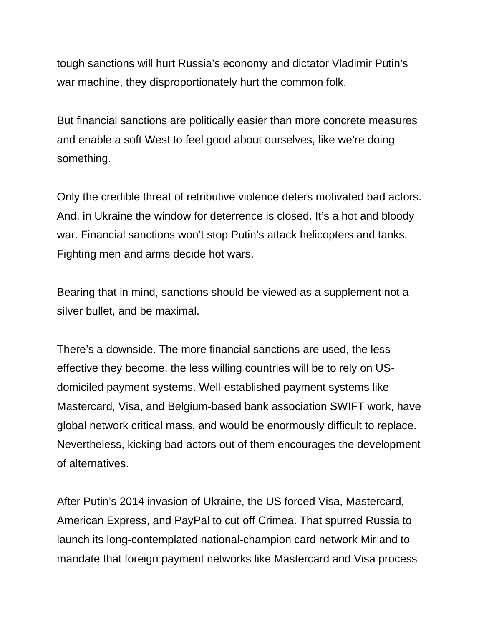tough sanctions will hurt Russia's economy and dictator Vladimir Putin's war machine, they disproportionately hurt the common folk.

But financial sanctions are politically easier than more concrete measures and enable a soft West to feel good about ourselves, like we're doing something.

Only the credible threat of retributive violence deters motivated bad actors. And, in Ukraine the window for deterrence is closed. It's a hot and bloody war. Financial sanctions won't stop Putin's attack helicopters and tanks. Fighting men and arms decide hot wars.

Bearing that in mind, sanctions should be viewed as a supplement not a silver bullet, and be maximal.

There's a downside. The more financial sanctions are used, the less effective they become, the less willing countries will be to rely on USdomiciled payment systems. Well-established payment systems like Mastercard, Visa, and Belgium-based bank association SWIFT work, have global network critical mass, and would be enormously difficult to replace. Nevertheless, kicking bad actors out of them encourages the development of alternatives.

After Putin's 2014 invasion of Ukraine, the US forced Visa, Mastercard, American Express, and PayPal to cut off Crimea. That spurred Russia to launch its long-contemplated national-champion card network Mir and to mandate that foreign payment networks like Mastercard and Visa process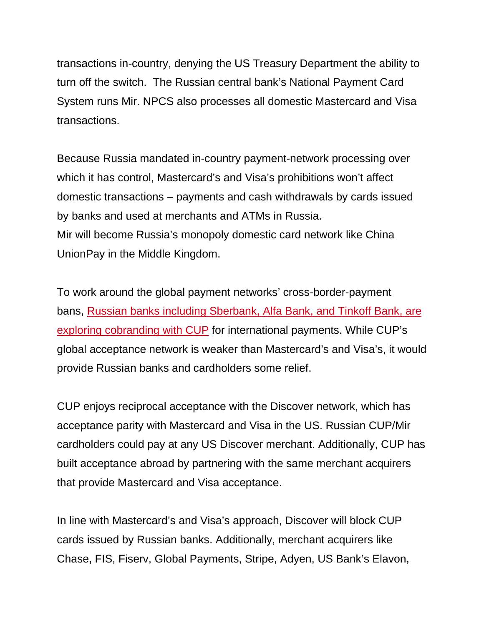transactions in-country, denying the US Treasury Department the ability to turn off the switch. The Russian central bank's National Payment Card System runs Mir. NPCS also processes all domestic Mastercard and Visa transactions.

Because Russia mandated in-country payment-network processing over which it has control, Mastercard's and Visa's prohibitions won't affect domestic transactions – payments and cash withdrawals by cards issued by banks and used at merchants and ATMs in Russia. Mir will become Russia's monopoly domestic card network like China UnionPay in the Middle Kingdom.

To work around the global payment networks' cross-border-payment bans, [Russian banks including Sberbank, Alfa Bank, and Tinkoff Bank, are](https://www.wsj.com/articles/russian-banks-turn-to-china-to-sidestep-cutoff-from-payments-systems-11646578489)  [exploring cobranding with CUP](https://www.wsj.com/articles/russian-banks-turn-to-china-to-sidestep-cutoff-from-payments-systems-11646578489) for international payments. While CUP's global acceptance network is weaker than Mastercard's and Visa's, it would provide Russian banks and cardholders some relief.

CUP enjoys reciprocal acceptance with the Discover network, which has acceptance parity with Mastercard and Visa in the US. Russian CUP/Mir cardholders could pay at any US Discover merchant. Additionally, CUP has built acceptance abroad by partnering with the same merchant acquirers that provide Mastercard and Visa acceptance.

In line with Mastercard's and Visa's approach, Discover will block CUP cards issued by Russian banks. Additionally, merchant acquirers like Chase, FIS, Fiserv, Global Payments, Stripe, Adyen, US Bank's Elavon,